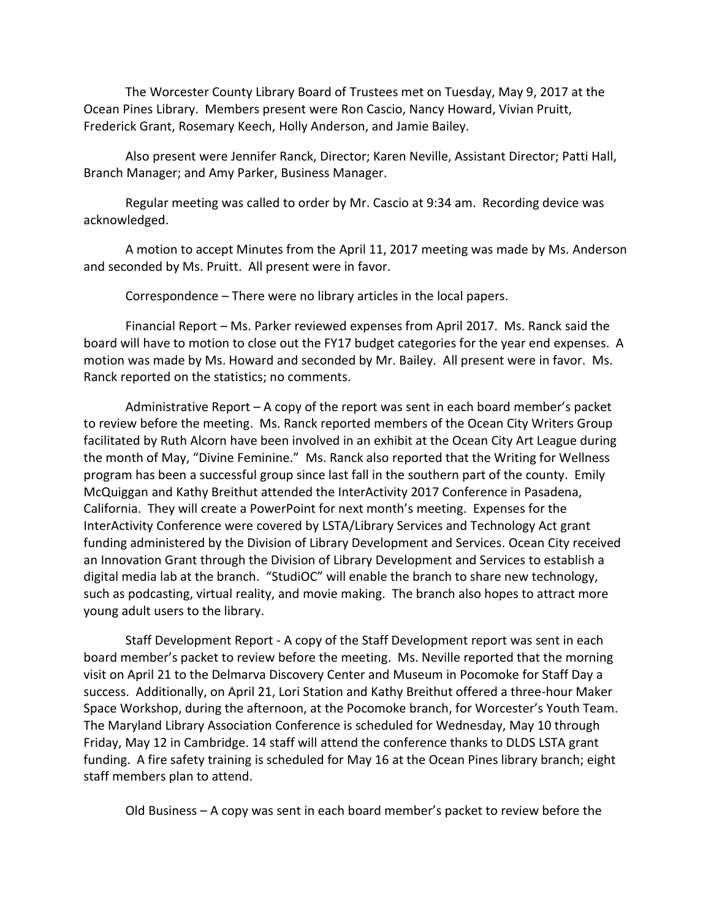The Worcester County Library Board of Trustees met on Tuesday, May 9, 2017 at the Ocean Pines Library. Members present were Ron Cascio, Nancy Howard, Vivian Pruitt, Frederick Grant, Rosemary Keech, Holly Anderson, and Jamie Bailey.

Also present were Jennifer Ranck, Director; Karen Neville, Assistant Director; Patti Hall, Branch Manager; and Amy Parker, Business Manager.

Regular meeting was called to order by Mr. Cascio at 9:34 am. Recording device was acknowledged.

A motion to accept Minutes from the April 11, 2017 meeting was made by Ms. Anderson and seconded by Ms. Pruitt. All present were in favor.

Correspondence – There were no library articles in the local papers.

Financial Report – Ms. Parker reviewed expenses from April 2017. Ms. Ranck said the board will have to motion to close out the FY17 budget categories for the year end expenses. A motion was made by Ms. Howard and seconded by Mr. Bailey. All present were in favor. Ms. Ranck reported on the statistics; no comments.

Administrative Report – A copy of the report was sent in each board member's packet to review before the meeting. Ms. Ranck reported members of the Ocean City Writers Group facilitated by Ruth Alcorn have been involved in an exhibit at the Ocean City Art League during the month of May, "Divine Feminine." Ms. Ranck also reported that the Writing for Wellness program has been a successful group since last fall in the southern part of the county. Emily McQuiggan and Kathy Breithut attended the InterActivity 2017 Conference in Pasadena, California. They will create a PowerPoint for next month's meeting. Expenses for the InterActivity Conference were covered by LSTA/Library Services and Technology Act grant funding administered by the Division of Library Development and Services. Ocean City received an Innovation Grant through the Division of Library Development and Services to establish a digital media lab at the branch. "StudiOC" will enable the branch to share new technology, such as podcasting, virtual reality, and movie making. The branch also hopes to attract more young adult users to the library.

Staff Development Report - A copy of the Staff Development report was sent in each board member's packet to review before the meeting. Ms. Neville reported that the morning visit on April 21 to the Delmarva Discovery Center and Museum in Pocomoke for Staff Day a success. Additionally, on April 21, Lori Station and Kathy Breithut offered a three-hour Maker Space Workshop, during the afternoon, at the Pocomoke branch, for Worcester's Youth Team. The Maryland Library Association Conference is scheduled for Wednesday, May 10 through Friday, May 12 in Cambridge. 14 staff will attend the conference thanks to DLDS LSTA grant funding. A fire safety training is scheduled for May 16 at the Ocean Pines library branch; eight staff members plan to attend.

Old Business – A copy was sent in each board member's packet to review before the